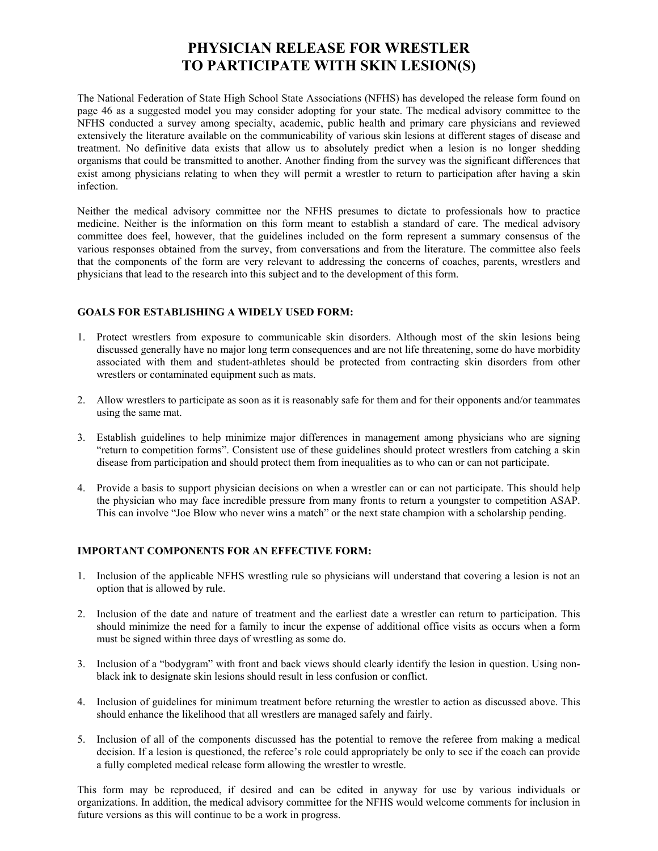## **PHYSICIAN RELEASE FOR WRESTLER TO PARTICIPATE WITH SKIN LESION(S)**

The National Federation of State High School State Associations (NFHS) has developed the release form found on page 46 as a suggested model you may consider adopting for your state. The medical advisory committee to the NFHS conducted a survey among specialty, academic, public health and primary care physicians and reviewed extensively the literature available on the communicability of various skin lesions at different stages of disease and treatment. No definitive data exists that allow us to absolutely predict when a lesion is no longer shedding organisms that could be transmitted to another. Another finding from the survey was the significant differences that exist among physicians relating to when they will permit a wrestler to return to participation after having a skin infection.

Neither the medical advisory committee nor the NFHS presumes to dictate to professionals how to practice medicine. Neither is the information on this form meant to establish a standard of care. The medical advisory committee does feel, however, that the guidelines included on the form represent a summary consensus of the various responses obtained from the survey, from conversations and from the literature. The committee also feels that the components of the form are very relevant to addressing the concerns of coaches, parents, wrestlers and physicians that lead to the research into this subject and to the development of this form.

## **GOALS FOR ESTABLISHING A WIDELY USED FORM:**

- 1. Protect wrestlers from exposure to communicable skin disorders. Although most of the skin lesions being discussed generally have no major long term consequences and are not life threatening, some do have morbidity associated with them and student-athletes should be protected from contracting skin disorders from other wrestlers or contaminated equipment such as mats.
- 2. Allow wrestlers to participate as soon as it is reasonably safe for them and for their opponents and/or teammates using the same mat.
- 3. Establish guidelines to help minimize major differences in management among physicians who are signing "return to competition forms". Consistent use of these guidelines should protect wrestlers from catching a skin disease from participation and should protect them from inequalities as to who can or can not participate.
- 4. Provide a basis to support physician decisions on when a wrestler can or can not participate. This should help the physician who may face incredible pressure from many fronts to return a youngster to competition ASAP. This can involve "Joe Blow who never wins a match" or the next state champion with a scholarship pending.

## **IMPORTANT COMPONENTS FOR AN EFFECTIVE FORM:**

- 1. Inclusion of the applicable NFHS wrestling rule so physicians will understand that covering a lesion is not an option that is allowed by rule.
- 2. Inclusion of the date and nature of treatment and the earliest date a wrestler can return to participation. This should minimize the need for a family to incur the expense of additional office visits as occurs when a form must be signed within three days of wrestling as some do.
- 3. Inclusion of a "bodygram" with front and back views should clearly identify the lesion in question. Using nonblack ink to designate skin lesions should result in less confusion or conflict.
- 4. Inclusion of guidelines for minimum treatment before returning the wrestler to action as discussed above. This should enhance the likelihood that all wrestlers are managed safely and fairly.
- 5. Inclusion of all of the components discussed has the potential to remove the referee from making a medical decision. If a lesion is questioned, the referee's role could appropriately be only to see if the coach can provide a fully completed medical release form allowing the wrestler to wrestle.

This form may be reproduced, if desired and can be edited in anyway for use by various individuals or organizations. In addition, the medical advisory committee for the NFHS would welcome comments for inclusion in future versions as this will continue to be a work in progress.